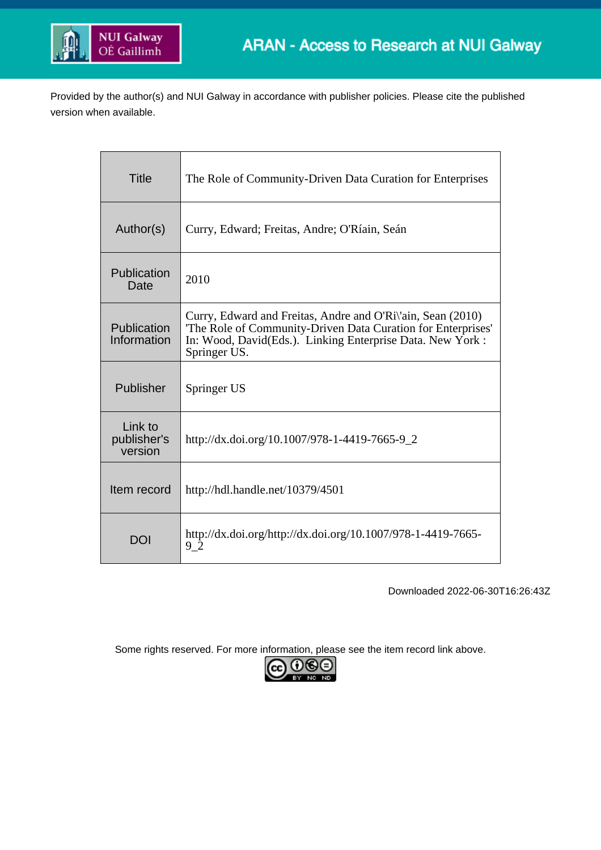

Provided by the author(s) and NUI Galway in accordance with publisher policies. Please cite the published version when available.

| <b>Title</b>                      | The Role of Community-Driven Data Curation for Enterprises                                                                                                                                               |
|-----------------------------------|----------------------------------------------------------------------------------------------------------------------------------------------------------------------------------------------------------|
| Author(s)                         | Curry, Edward; Freitas, Andre; O'Ríain, Seán                                                                                                                                                             |
| Publication<br>Date               | 2010                                                                                                                                                                                                     |
| Publication<br>Information        | Curry, Edward and Freitas, Andre and O'Ri\'ain, Sean (2010)<br>'The Role of Community-Driven Data Curation for Enterprises'<br>In: Wood, David(Eds.). Linking Enterprise Data. New York:<br>Springer US. |
| Publisher                         | Springer US                                                                                                                                                                                              |
| Link to<br>publisher's<br>version | http://dx.doi.org/10.1007/978-1-4419-7665-9_2                                                                                                                                                            |
| Item record                       | http://hdl.handle.net/10379/4501                                                                                                                                                                         |
| <b>DOI</b>                        | http://dx.doi.org/http://dx.doi.org/10.1007/978-1-4419-7665-<br>$9_{-2}$                                                                                                                                 |

Downloaded 2022-06-30T16:26:43Z

Some rights reserved. For more information, please see the item record link above.

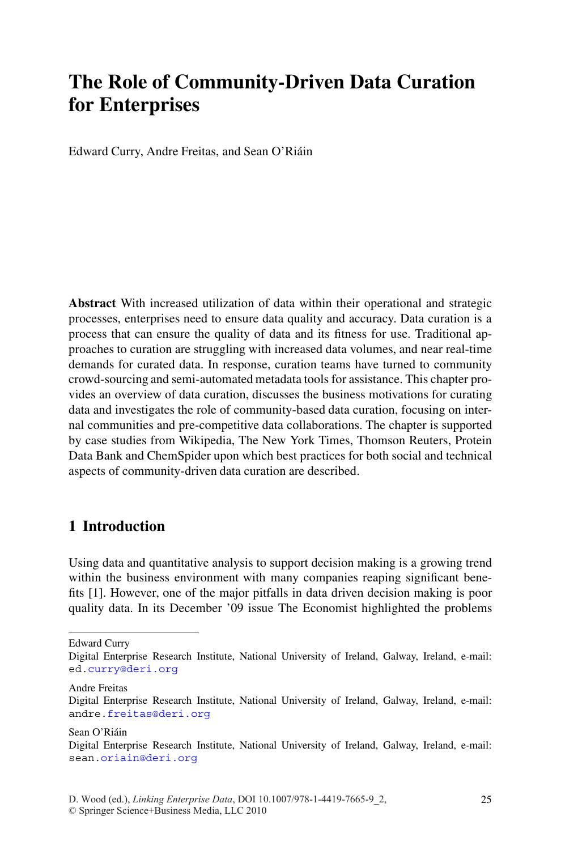# **The Role of Community-Driven Data Curation for Enterprises**

Edward Curry, Andre Freitas, and Sean O'Riáin

**Abstract** With increased utilization of data within their operational and strategic processes, enterprises need to ensure data quality and accuracy. Data curation is a process that can ensure the quality of data and its fitness for use. Traditional approaches to curation are struggling with increased data volumes, and near real-time demands for curated data. In response, curation teams have turned to community crowd-sourcing and semi-automated metadata tools for assistance. This chapter provides an overview of data curation, discusses the business motivations for curating data and investigates the role of community-based data curation, focusing on internal communities and pre-competitive data collaborations. The chapter is supported by case studies from Wikipedia, The New York Times, Thomson Reuters, Protein Data Bank and ChemSpider upon which best practices for both social and technical aspects of community-driven data curation are described.

### **1 Introduction**

[Usin](mailto:curry@deri.org)g data and quantitative analysis to support decision making is a growing trend within the business environment with many companies reaping significant benefits [1]. However, one of the major pitfalls in data driven decision making is poor [quality](mailto:freitas@deri.org) [dat](mailto:freitas@deri.org)a. In its December '09 issue The Economist highlighted the problems

Andre Freitas

Sean O'Riáin

[Edward C](mailto:oriain@deri.org)urry

Digital Enterprise Research Institute, National University of Ireland, Galway, Ireland, e-mail: ed.curry@deri.org

Digital Enterprise Research Institute, National University of Ireland, Galway, Ireland, e-mail: andre.freitas@deri.org

Digital Enterprise Research Institute, National University of Ireland, Galway, Ireland, e-mail: sean.oriain@deri.org

<sup>©</sup> Springer Science+Business Media, LLC 201 0D. Wood (ed.), *Linking Enterprise Data*, DOI 10.1007/978-1-4419-7665-9\_2,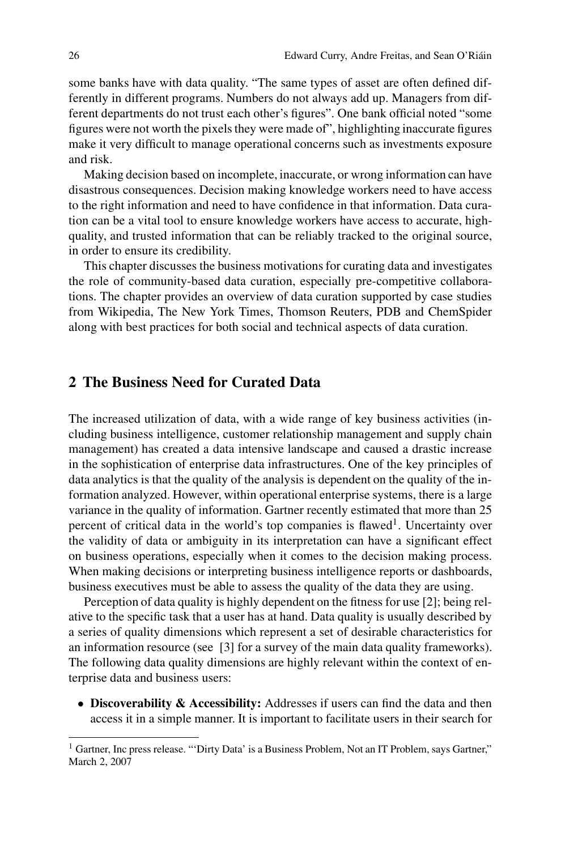some banks have with data quality. "The same types of asset are often defined differently in different programs. Numbers do not always add up. Managers from different departments do not trust each other's figures". One bank official noted "some figures were not worth the pixels they were made of", highlighting inaccurate figures make it very difficult to manage operational concerns such as investments exposure and risk.

Making decision based on incomplete, inaccurate, or wrong information can have disastrous consequences. Decision making knowledge workers need to have access to the right information and need to have confidence in that information. Data curation can be a vital tool to ensure knowledge workers have access to accurate, highquality, and trusted information that can be reliably tracked to the original source, in order to ensure its credibility.

This chapter discusses the business motivations for curating data and investigates the role of community-based data curation, especially pre-competitive collaborations. The chapter provides an overview of data curation supported by case studies from Wikipedia, The New York Times, Thomson Reuters, PDB and ChemSpider along with best practices for both social and technical aspects of data curation.

#### **2 The Business Need for Curated Data**

The increased utilization of data, with a wide range of key business activities (including business intelligence, customer relationship management and supply chain management) has created a data intensive landscape and caused a drastic increase in the sophistication of enterprise data infrastructures. One of the key principles of data analytics is that the quality of the analysis is dependent on the quality of the information analyzed. However, within operational enterprise systems, there is a large variance in the quality of information. Gartner recently estimated that more than 25 percent of critical data in the world's top companies is flawed<sup>1</sup>. Uncertainty over the validity of data or ambiguity in its interpretation can have a significant effect on business operations, especially when it comes to the decision making process. When making decisions or interpreting business intelligence reports or dashboards, business executives must be able to assess the quality of the data they are using.

Perception of data quality is highly dependent on the fitness for use [2]; being relative to the specific task that a user has at hand. Data quality is usually described by a series of quality dimensions which represent a set of desirable characteristics for an information resource (see [3] for a survey of the main data quality frameworks). The following data quality dimensions are highly relevant within the context of enterprise data and business users:

• **Discoverability & Accessibility:** Addresses if users can find the data and then access it in a simple manner. It is important to facilitate users in their search for

<sup>&</sup>lt;sup>1</sup> Gartner, Inc press release. ""Dirty Data' is a Business Problem, Not an IT Problem, says Gartner," March 2, 2007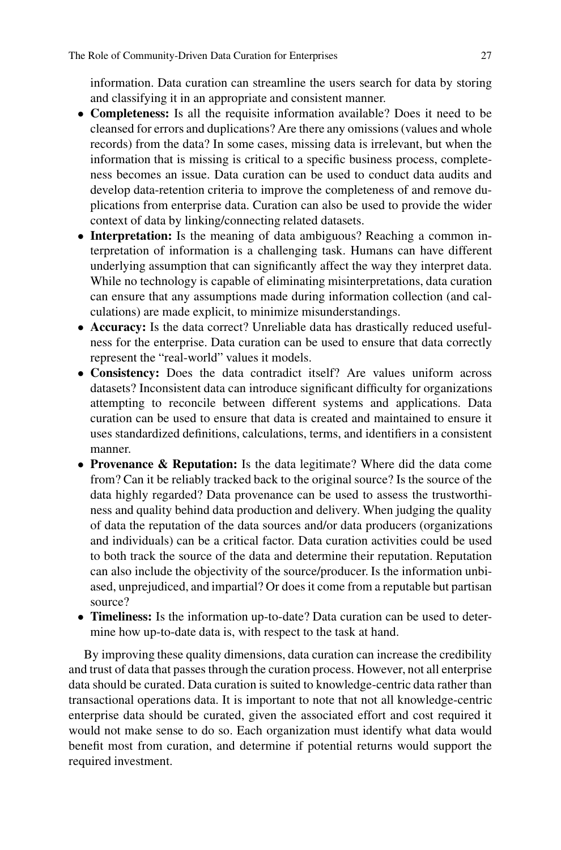information. Data curation can streamline the users search for data by storing and classifying it in an appropriate and consistent manner.

- **Completeness:** Is all the requisite information available? Does it need to be cleansed for errors and duplications? Are there any omissions (values and whole records) from the data? In some cases, missing data is irrelevant, but when the information that is missing is critical to a specific business process, completeness becomes an issue. Data curation can be used to conduct data audits and develop data-retention criteria to improve the completeness of and remove duplications from enterprise data. Curation can also be used to provide the wider context of data by linking/connecting related datasets.
- **Interpretation:** Is the meaning of data ambiguous? Reaching a common interpretation of information is a challenging task. Humans can have different underlying assumption that can significantly affect the way they interpret data. While no technology is capable of eliminating misinterpretations, data curation can ensure that any assumptions made during information collection (and calculations) are made explicit, to minimize misunderstandings.
- **Accuracy:** Is the data correct? Unreliable data has drastically reduced usefulness for the enterprise. Data curation can be used to ensure that data correctly represent the "real-world" values it models.
- **Consistency:** Does the data contradict itself? Are values uniform across datasets? Inconsistent data can introduce significant difficulty for organizations attempting to reconcile between different systems and applications. Data curation can be used to ensure that data is created and maintained to ensure it uses standardized definitions, calculations, terms, and identifiers in a consistent manner.
- **Provenance & Reputation:** Is the data legitimate? Where did the data come from? Can it be reliably tracked back to the original source? Is the source of the data highly regarded? Data provenance can be used to assess the trustworthiness and quality behind data production and delivery. When judging the quality of data the reputation of the data sources and/or data producers (organizations and individuals) can be a critical factor. Data curation activities could be used to both track the source of the data and determine their reputation. Reputation can also include the objectivity of the source/producer. Is the information unbiased, unprejudiced, and impartial? Or does it come from a reputable but partisan source?
- **Timeliness:** Is the information up-to-date? Data curation can be used to determine how up-to-date data is, with respect to the task at hand.

By improving these quality dimensions, data curation can increase the credibility and trust of data that passes through the curation process. However, not all enterprise data should be curated. Data curation is suited to knowledge-centric data rather than transactional operations data. It is important to note that not all knowledge-centric enterprise data should be curated, given the associated effort and cost required it would not make sense to do so. Each organization must identify what data would benefit most from curation, and determine if potential returns would support the required investment.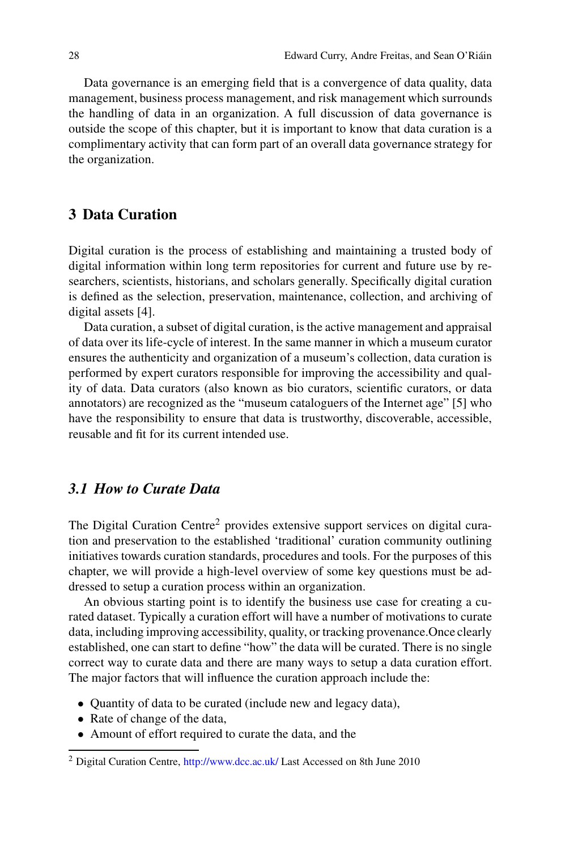Data governance is an emerging field that is a convergence of data quality, data management, business process management, and risk management which surrounds the handling of data in an organization. A full discussion of data governance is outside the scope of this chapter, but it is important to know that data curation is a complimentary activity that can form part of an overall data governance strategy for the organization.

### **3 Data Curation**

Digital curation is the process of establishing and maintaining a trusted body of digital information within long term repositories for current and future use by researchers, scientists, historians, and scholars generally. Specifically digital curation is defined as the selection, preservation, maintenance, collection, and archiving of digital assets [4].

Data curation, a subset of digital curation, is the active management and appraisal of data over its life-cycle of interest. In the same manner in which a museum curator ensures the authenticity and organization of a museum's collection, data curation is performed by expert curators responsible for improving the accessibility and quality of data. Data curators (also known as bio curators, scientific curators, or data annotators) are recognized as the "museum cataloguers of the Internet age" [5] who have the responsibility to ensure that data is trustworthy, discoverable, accessible, reusable and fit for its current intended use.

#### *3.1 How to Curate Data*

The Digital Curation Centre<sup>2</sup> provides extensive support services on digital curation and preservation to the established 'traditional' curation community outlining initiatives towards curation standards, procedures and tools. For the purposes of this chapter, we will provide a high-level overview of some key questions must be addressed to setup a curation process within an organization.

An obvious starting point is to identify the business use case for creating a curated dataset. Typically a curation effort will have a number of motivations to curate data, including improving accessibility, quality, or tracking provenance.Once clearly est[ablished, one can st](http://www.dcc.ac.uk)art to define "how" the data will be curated. There is no single correct way to curate data and there are many ways to setup a data curation effort. The major factors that will influence the curation approach include the:

- Quantity of data to be curated (include new and legacy data),
- Rate of change of the data,
- Amount of effort required to curate the data, and the

<sup>2</sup> Digital Curation Centre, http://www.dcc.ac.uk/ Last Accessed on 8th June 2010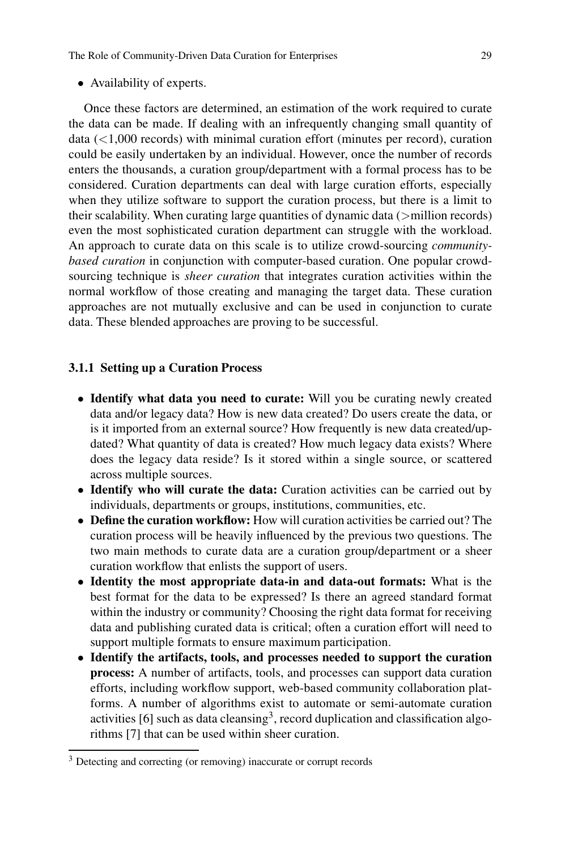• Availability of experts.

Once these factors are determined, an estimation of the work required to curate the data can be made. If dealing with an infrequently changing small quantity of data (*<*1,000 records) with minimal curation effort (minutes per record), curation could be easily undertaken by an individual. However, once the number of records enters the thousands, a curation group/department with a formal process has to be considered. Curation departments can deal with large curation efforts, especially when they utilize software to support the curation process, but there is a limit to their scalability. When curating large quantities of dynamic data (*>*million records) even the most sophisticated curation department can struggle with the workload. An approach to curate data on this scale is to utilize crowd-sourcing *communitybased curation* in conjunction with computer-based curation. One popular crowdsourcing technique is *sheer curation* that integrates curation activities within the normal workflow of those creating and managing the target data. These curation approaches are not mutually exclusive and can be used in conjunction to curate data. These blended approaches are proving to be successful.

#### **3.1.1 Setting up a Curation Process**

- **Identify what data you need to curate:** Will you be curating newly created data and/or legacy data? How is new data created? Do users create the data, or is it imported from an external source? How frequently is new data created/updated? What quantity of data is created? How much legacy data exists? Where does the legacy data reside? Is it stored within a single source, or scattered across multiple sources.
- **Identify who will curate the data:** Curation activities can be carried out by individuals, departments or groups, institutions, communities, etc.
- **Define the curation workflow:** How will curation activities be carried out? The curation process will be heavily influenced by the previous two questions. The two main methods to curate data are a curation group/department or a sheer curation workflow that enlists the support of users.
- **Identity the most appropriate data-in and data-out formats:** What is the best format for the data to be expressed? Is there an agreed standard format within the industry or community? Choosing the right data format for receiving data and publishing curated data is critical; often a curation effort will need to support multiple formats to ensure maximum participation.
- **Identify the artifacts, tools, and processes needed to support the curation process:** A number of artifacts, tools, and processes can support data curation efforts, including workflow support, web-based community collaboration platforms. A number of algorithms exist to automate or semi-automate curation activities  $[6]$  such as data cleansing<sup>3</sup>, record duplication and classification algorithms [7] that can be used within sheer curation.

<sup>&</sup>lt;sup>3</sup> Detecting and correcting (or removing) inaccurate or corrupt records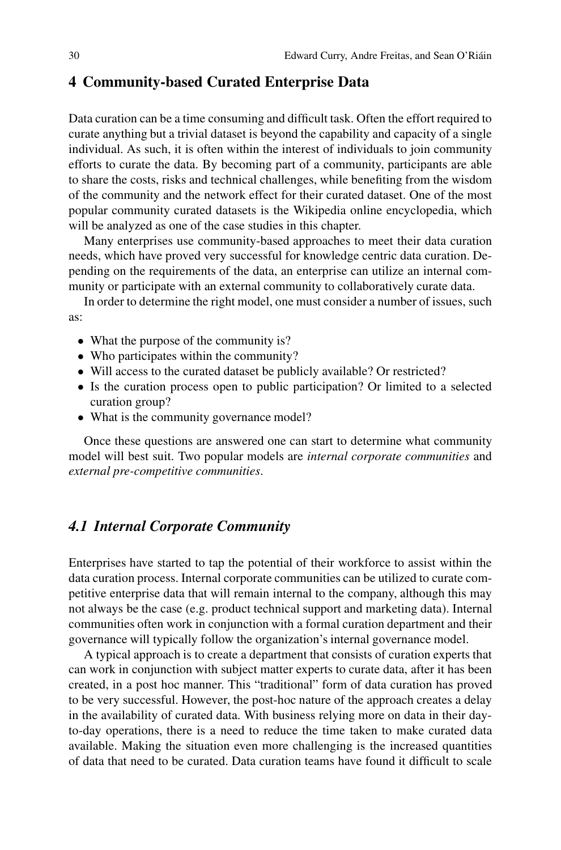#### **4 Community-based Curated Enterprise Data**

Data curation can be a time consuming and difficult task. Often the effort required to curate anything but a trivial dataset is beyond the capability and capacity of a single individual. As such, it is often within the interest of individuals to join community efforts to curate the data. By becoming part of a community, participants are able to share the costs, risks and technical challenges, while benefiting from the wisdom of the community and the network effect for their curated dataset. One of the most popular community curated datasets is the Wikipedia online encyclopedia, which will be analyzed as one of the case studies in this chapter.

Many enterprises use community-based approaches to meet their data curation needs, which have proved very successful for knowledge centric data curation. Depending on the requirements of the data, an enterprise can utilize an internal community or participate with an external community to collaboratively curate data.

In order to determine the right model, one must consider a number of issues, such as:

- What the purpose of the community is?
- Who participates within the community?
- Will access to the curated dataset be publicly available? Or restricted?
- Is the curation process open to public participation? Or limited to a selected curation group?
- What is the community governance model?

Once these questions are answered one can start to determine what community model will best suit. Two popular models are *internal corporate communities* and *external pre-competitive communities*.

#### *4.1 Internal Corporate Community*

Enterprises have started to tap the potential of their workforce to assist within the data curation process. Internal corporate communities can be utilized to curate competitive enterprise data that will remain internal to the company, although this may not always be the case (e.g. product technical support and marketing data). Internal communities often work in conjunction with a formal curation department and their governance will typically follow the organization's internal governance model.

A typical approach is to create a department that consists of curation experts that can work in conjunction with subject matter experts to curate data, after it has been created, in a post hoc manner. This "traditional" form of data curation has proved to be very successful. However, the post-hoc nature of the approach creates a delay in the availability of curated data. With business relying more on data in their dayto-day operations, there is a need to reduce the time taken to make curated data available. Making the situation even more challenging is the increased quantities of data that need to be curated. Data curation teams have found it difficult to scale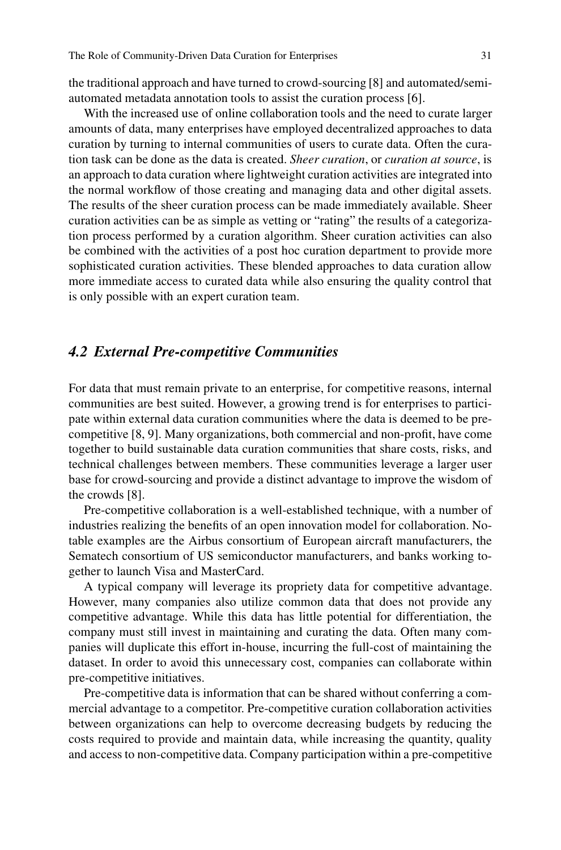the traditional approach and have turned to crowd-sourcing [8] and automated/semiautomated metadata annotation tools to assist the curation process [6].

With the increased use of online collaboration tools and the need to curate larger amounts of data, many enterprises have employed decentralized approaches to data curation by turning to internal communities of users to curate data. Often the curation task can be done as the data is created. *Sheer curation*, or *curation at source*, is an approach to data curation where lightweight curation activities are integrated into the normal workflow of those creating and managing data and other digital assets. The results of the sheer curation process can be made immediately available. Sheer curation activities can be as simple as vetting or "rating" the results of a categorization process performed by a curation algorithm. Sheer curation activities can also be combined with the activities of a post hoc curation department to provide more sophisticated curation activities. These blended approaches to data curation allow more immediate access to curated data while also ensuring the quality control that is only possible with an expert curation team.

### *4.2 External Pre-competitive Communities*

For data that must remain private to an enterprise, for competitive reasons, internal communities are best suited. However, a growing trend is for enterprises to participate within external data curation communities where the data is deemed to be precompetitive [8, 9]. Many organizations, both commercial and non-profit, have come together to build sustainable data curation communities that share costs, risks, and technical challenges between members. These communities leverage a larger user base for crowd-sourcing and provide a distinct advantage to improve the wisdom of the crowds [8].

Pre-competitive collaboration is a well-established technique, with a number of industries realizing the benefits of an open innovation model for collaboration. Notable examples are the Airbus consortium of European aircraft manufacturers, the Sematech consortium of US semiconductor manufacturers, and banks working together to launch Visa and MasterCard.

A typical company will leverage its propriety data for competitive advantage. However, many companies also utilize common data that does not provide any competitive advantage. While this data has little potential for differentiation, the company must still invest in maintaining and curating the data. Often many companies will duplicate this effort in-house, incurring the full-cost of maintaining the dataset. In order to avoid this unnecessary cost, companies can collaborate within pre-competitive initiatives.

Pre-competitive data is information that can be shared without conferring a commercial advantage to a competitor. Pre-competitive curation collaboration activities between organizations can help to overcome decreasing budgets by reducing the costs required to provide and maintain data, while increasing the quantity, quality and access to non-competitive data. Company participation within a pre-competitive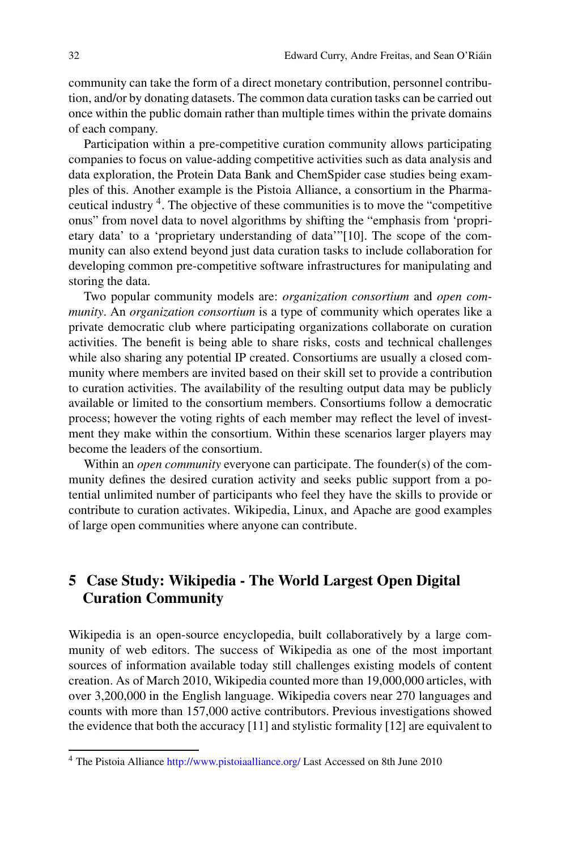community can take the form of a direct monetary contribution, personnel contribution, and/or by donating datasets. The common data curation tasks can be carried out once within the public domain rather than multiple times within the private domains of each company.

Participation within a pre-competitive curation community allows participating companies to focus on value-adding competitive activities such as data analysis and data exploration, the Protein Data Bank and ChemSpider case studies being examples of this. Another example is the Pistoia Alliance, a consortium in the Pharmaceutical industry 4. The objective of these communities is to move the "competitive onus" from novel data to novel algorithms by shifting the "emphasis from 'proprietary data' to a 'proprietary understanding of data'"[10]. The scope of the community can also extend beyond just data curation tasks to include collaboration for developing common pre-competitive software infrastructures for manipulating and storing the data.

Two popular community models are: *organization consortium* and *open community*. An *organization consortium* is a type of community which operates like a private democratic club where participating organizations collaborate on curation activities. The benefit is being able to share risks, costs and technical challenges while also sharing any potential IP created. Consortiums are usually a closed community where members are invited based on their skill set to provide a contribution to curation activities. The availability of the resulting output data may be publicly available or limited to the consortium members. Consortiums follow a democratic process; however the voting rights of each member may reflect the level of investment they make within the consortium. Within these scenarios larger players may become the leaders of the consortium.

Within an *open community* everyone can participate. The founder(s) of the community defines the desired curation activity and seeks public support from a potential unlimited number of participants who feel they have the skills to provide or contribute to curation activates. Wikipedia, Linux, and Apache are good examples of large open communities where anyone can contribute.

## **5 Case Study: Wikipedia - The World Largest Open Digital Curation Community**

Wikipedia is an open-source encyclopedia, built collaboratively by a large com[munity of web editors. T](http://www.pistoiaalliance.org)he success of Wikipedia as one of the most important sources of information available today still challenges existing models of content creation. As of March 2010, Wikipedia counted more than 19,000,000 articles, with over 3,200,000 in the English language. Wikipedia covers near 270 languages and counts with more than 157,000 active contributors. Previous investigations showed the evidence that both the accuracy [11] and stylistic formality [12] are equivalent to

<sup>4</sup> The Pistoia Alliance http://www.pistoiaalliance.org/ Last Accessed on 8th June 2010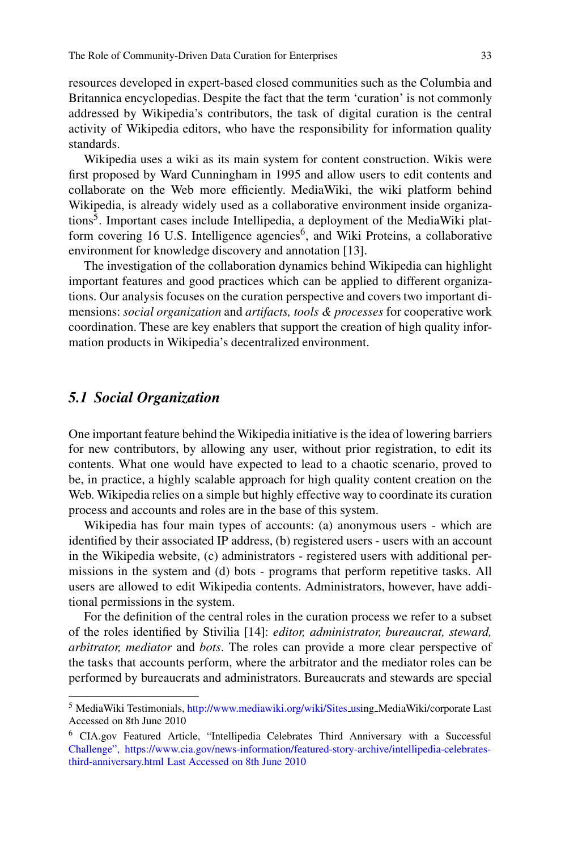The Role of Community-Driven Data Curation for Enterprises 33

resources developed in expert-based closed communities such as the Columbia and Britannica encyclopedias. Despite the fact that the term 'curation' is not commonly addressed by Wikipedia's contributors, the task of digital curation is the central activity of Wikipedia editors, who have the responsibility for information quality standards.

Wikipedia uses a wiki as its main system for content construction. Wikis were first proposed by Ward Cunningham in 1995 and allow users to edit contents and collaborate on the Web more efficiently. MediaWiki, the wiki platform behind Wikipedia, is already widely used as a collaborative environment inside organizations<sup>5</sup>. Important cases include Intellipedia, a deployment of the MediaWiki platform covering 16 U.S. Intelligence agencies<sup>6</sup>, and Wiki Proteins, a collaborative environment for knowledge discovery and annotation [13].

The investigation of the collaboration dynamics behind Wikipedia can highlight important features and good practices which can be applied to different organizations. Our analysis focuses on the curation perspective and covers two important dimensions: *social organization* and *artifacts, tools & processes* for cooperative work coordination. These are key enablers that support the creation of high quality information products in Wikipedia's decentralized environment.

### *5.1 Social Organization*

One important feature behind the Wikipedia initiative is the idea of lowering barriers for new contributors, by allowing any user, without prior registration, to edit its contents. What one would have expected to lead to a chaotic scenario, proved to be, in practice, a highly scalable approach for high quality content creation on the Web. Wikipedia relies on a simple but highly effective way to coordinate its curation process and accounts and roles are in the base of this system.

Wikipedia has four main types of accounts: (a) anonymous users - which are identified by their associated IP address, (b) registered users - users with an account in the Wikipedia website, (c) administrators - registered users with additional permissions in the system and (d) bots - programs that perform repetitive tasks. All users are allowed to edit Wikipedia contents. Administrators, however, have additio[nal](http://www.mediawiki.org/wiki/Sites) [permissions](http://www.mediawiki.org/wiki/Sites) [in](http://www.mediawiki.org/wiki/Sites) [the](http://www.mediawiki.org/wiki/Sites) [system.](http://www.mediawiki.org/wiki/Sites)

For the definition of the central roles in the curation process we refer to a subset [of the roles identified by Stivilia \[14\]:](https://www.cia.gov/news-information/featured-story-archive/intellipedia-celebrates-third-anniversary.html) *editor, administrator, bureaucrat, steward, [ar](https://www.cia.gov/news-information/featured-story-archive/intellipedia-celebrates-third-anniversary.html)bitrator, mediator* and *bots*[. The roles can provide a more cle](https://www.cia.gov/news-information/featured-story-archive/intellipedia-celebrates-third-anniversary.html)ar perspective of the tasks that accounts perform, where the arbitrator and the mediator roles can be performed by bureaucrats and administrators. Bureaucrats and stewards are special

<sup>5</sup> MediaWiki Testimonials, http://www.mediawiki.org/wiki/Sites using MediaWiki/corporate Last Accessed on 8th June 2010

<sup>6</sup> CIA.gov Featured Article, "Intellipedia Celebrates Third Anniversary with a Successful Challenge", https://www.cia.gov/news-information/featured-story-archive/intellipedia-celebratesthird-anniversary.html Last Accessed on 8th June 2010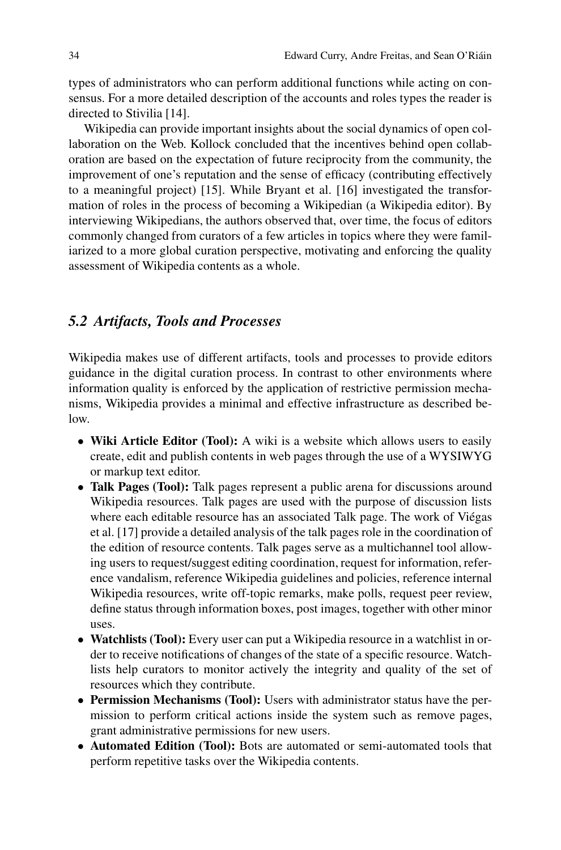types of administrators who can perform additional functions while acting on consensus. For a more detailed description of the accounts and roles types the reader is directed to Stivilia [14].

Wikipedia can provide important insights about the social dynamics of open collaboration on the Web. Kollock concluded that the incentives behind open collaboration are based on the expectation of future reciprocity from the community, the improvement of one's reputation and the sense of efficacy (contributing effectively to a meaningful project) [15]. While Bryant et al. [16] investigated the transformation of roles in the process of becoming a Wikipedian (a Wikipedia editor). By interviewing Wikipedians, the authors observed that, over time, the focus of editors commonly changed from curators of a few articles in topics where they were familiarized to a more global curation perspective, motivating and enforcing the quality assessment of Wikipedia contents as a whole.

#### *5.2 Artifacts, Tools and Processes*

Wikipedia makes use of different artifacts, tools and processes to provide editors guidance in the digital curation process. In contrast to other environments where information quality is enforced by the application of restrictive permission mechanisms, Wikipedia provides a minimal and effective infrastructure as described below.

- **Wiki Article Editor (Tool):** A wiki is a website which allows users to easily create, edit and publish contents in web pages through the use of a WYSIWYG or markup text editor.
- **Talk Pages (Tool):** Talk pages represent a public arena for discussions around Wikipedia resources. Talk pages are used with the purpose of discussion lists where each editable resource has an associated Talk page. The work of Viégas et al. [17] provide a detailed analysis of the talk pages role in the coordination of the edition of resource contents. Talk pages serve as a multichannel tool allowing users to request/suggest editing coordination, request for information, reference vandalism, reference Wikipedia guidelines and policies, reference internal Wikipedia resources, write off-topic remarks, make polls, request peer review, define status through information boxes, post images, together with other minor uses.
- **Watchlists (Tool):** Every user can put a Wikipedia resource in a watchlist in order to receive notifications of changes of the state of a specific resource. Watchlists help curators to monitor actively the integrity and quality of the set of resources which they contribute.
- **Permission Mechanisms (Tool):** Users with administrator status have the permission to perform critical actions inside the system such as remove pages, grant administrative permissions for new users.
- **Automated Edition (Tool):** Bots are automated or semi-automated tools that perform repetitive tasks over the Wikipedia contents.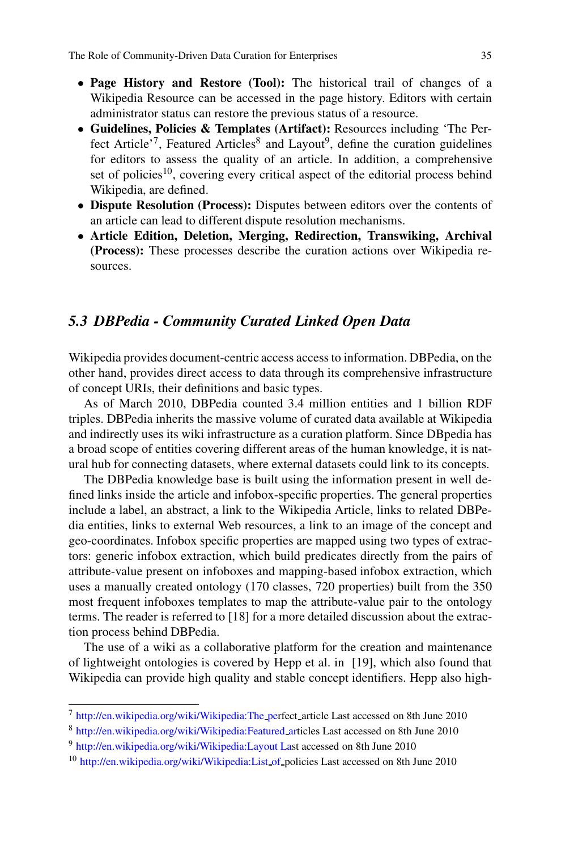The Role of Community-Driven Data Curation for Enterprises 35

- **Page History and Restore (Tool):** The historical trail of changes of a Wikipedia Resource can be accessed in the page history. Editors with certain administrator status can restore the previous status of a resource.
- **Guidelines, Policies & Templates (Artifact):** Resources including 'The Perfect Article'<sup>7</sup>, Featured Articles<sup>8</sup> and Layout<sup>9</sup>, define the curation guidelines for editors to assess the quality of an article. In addition, a comprehensive set of policies<sup>10</sup>, covering every critical aspect of the editorial process behind Wikipedia, are defined.
- **Dispute Resolution (Process):** Disputes between editors over the contents of an article can lead to different dispute resolution mechanisms.
- **Article Edition, Deletion, Merging, Redirection, Transwiking, Archival (Process):** These processes describe the curation actions over Wikipedia resources.

#### *5.3 DBPedia - Community Curated Linked Open Data*

Wikipedia provides document-centric access access to information. DBPedia, on the other hand, provides direct access to data through its comprehensive infrastructure of concept URIs, their definitions and basic types.

As of March 2010, DBPedia counted 3.4 million entities and 1 billion RDF triples. DBPedia inherits the massive volume of curated data available at Wikipedia and indirectly uses its wiki infrastructure as a curation platform. Since DBpedia has a broad scope of entities covering different areas of the human knowledge, it is natural hub for connecting datasets, where external datasets could link to its concepts.

The DBPedia knowledge base is built using the information present in well defined links inside the article and infobox-specific properties. The general properties include a label, an abstract, a link to the Wikipedia Article, links to related DBPedia entities, links to external Web resources, a link to an image of the concept and geo-coordinates. Infobox specific properties are mapped using two types of extractors: generic infobox extraction, which build predicates directly from the pairs of attribute-value present on infoboxes and mapping-based infobox extraction, which uses a manually created ontology (170 classes, 720 properties) built from the 350 [most frequent infobo](http://en.wikipedia.org/wiki/Wikipedia:The)xes templates to map the attribute-value pair to the ontology [terms. The reader is referr](http://en.wikipedia.org/wiki/Wikipedia:Featured)ed to [18] for a more detailed discussion about the extrac[tion process behind DBP](http://en.wikipedia.org/wiki/Wikipedia:Layout)edia.

[The use of a wiki a](http://en.wikipedia.org/wiki/Wikipedia:List)s a collaborative platform for the creation and maintenance of lightweight ontologies is covered by Hepp et al. in [19], which also found that Wikipedia can provide high quality and stable concept identifiers. Hepp also high-

<sup>7</sup> http://en.wikipedia.org/wiki/Wikipedia:The perfect article Last accessed on 8th June 2010

<sup>8</sup> http://en.wikipedia.org/wiki/Wikipedia:Featured articles Last accessed on 8th June 2010

<sup>9</sup> http://en.wikipedia.org/wiki/Wikipedia:Layout Last accessed on 8th June 2010

<sup>10</sup> http://en.wikipedia.org/wiki/Wikipedia:List of policies Last accessed on 8th June 2010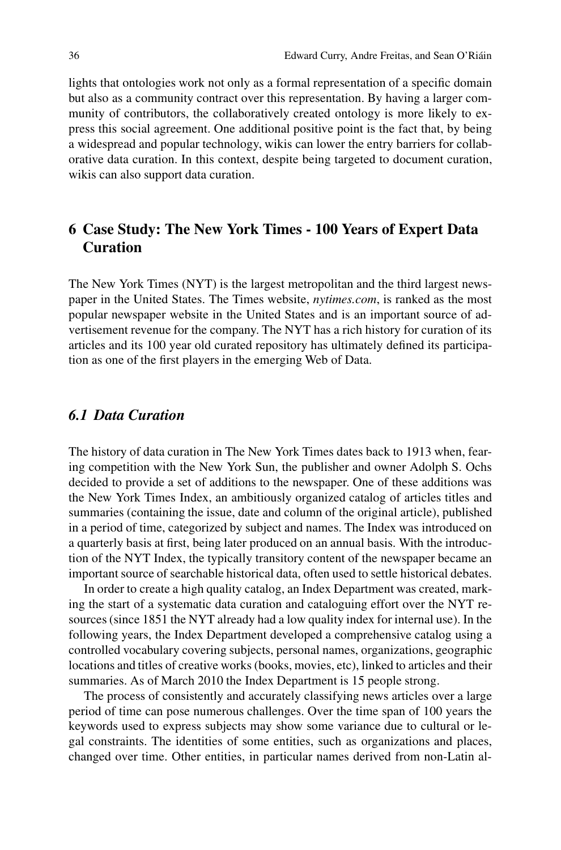lights that ontologies work not only as a formal representation of a specific domain but also as a community contract over this representation. By having a larger community of contributors, the collaboratively created ontology is more likely to express this social agreement. One additional positive point is the fact that, by being a widespread and popular technology, wikis can lower the entry barriers for collaborative data curation. In this context, despite being targeted to document curation, wikis can also support data curation.

### **6 Case Study: The New York Times - 100 Years of Expert Data Curation**

The New York Times (NYT) is the largest metropolitan and the third largest newspaper in the United States. The Times website, *nytimes.com*, is ranked as the most popular newspaper website in the United States and is an important source of advertisement revenue for the company. The NYT has a rich history for curation of its articles and its 100 year old curated repository has ultimately defined its participation as one of the first players in the emerging Web of Data.

#### *6.1 Data Curation*

The history of data curation in The New York Times dates back to 1913 when, fearing competition with the New York Sun, the publisher and owner Adolph S. Ochs decided to provide a set of additions to the newspaper. One of these additions was the New York Times Index, an ambitiously organized catalog of articles titles and summaries (containing the issue, date and column of the original article), published in a period of time, categorized by subject and names. The Index was introduced on a quarterly basis at first, being later produced on an annual basis. With the introduction of the NYT Index, the typically transitory content of the newspaper became an important source of searchable historical data, often used to settle historical debates.

In order to create a high quality catalog, an Index Department was created, marking the start of a systematic data curation and cataloguing effort over the NYT resources (since 1851 the NYT already had a low quality index for internal use). In the following years, the Index Department developed a comprehensive catalog using a controlled vocabulary covering subjects, personal names, organizations, geographic locations and titles of creative works (books, movies, etc), linked to articles and their summaries. As of March 2010 the Index Department is 15 people strong.

The process of consistently and accurately classifying news articles over a large period of time can pose numerous challenges. Over the time span of 100 years the keywords used to express subjects may show some variance due to cultural or legal constraints. The identities of some entities, such as organizations and places, changed over time. Other entities, in particular names derived from non-Latin al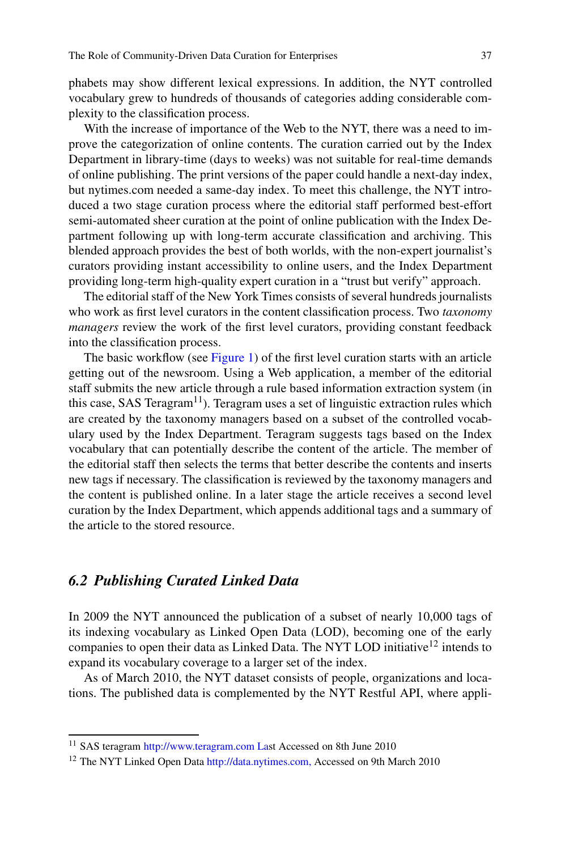phabets may show different lexical expressions. In addition, the NYT controlled vocabulary grew to hundreds of thousands of categories adding considerable complexity to the classification process.

With the increase of importance of the Web to the NYT, there was a need to improve the categorization of online contents. The curation carried out by the Index Department in library-time (days to weeks) was not suitable for real-time demands of online publishing. The print versions of the paper could handle a next-day index, but nytimes.com needed a same-day index. To meet this challenge, the NYT introduced a two stage curation process where the editorial staff performed best-effort semi-automated sheer curation at the point of online publication with the Index Department following up with long-term accurate classification and archiving. This blended [approach](#page-14-0) provides the best of both worlds, with the non-expert journalist's curators providing instant accessibility to online users, and the Index Department providing long-term high-quality expert curation in a "trust but verify" approach.

The editorial staff of the New York Times consists of several hundreds journalists who work as first level curators in the content classification process. Two *taxonomy managers* review the work of the first level curators, providing constant feedback into the classification process.

The basic workflow (see Figure 1) of the first level curation starts with an article getting out of the newsroom. Using a Web application, a member of the editorial staff submits the new article through a rule based information extraction system (in this case, SAS Teragram<sup>11</sup>). Teragram uses a set of linguistic extraction rules which are created by the taxonomy managers based on a subset of the controlled vocabulary used by the Index Department. Teragram suggests tags based on the Index vocabulary that can potentially describe the content of the article. The member of the editorial staff then selects the terms that better describe the contents and inserts new tags if necessary. The classification is reviewed by the taxonomy managers and the content is published online. In a later stage the article receives a second level curation by the Index Department, which appends additional tags and a summary of the article to the stored resource.

### *6.2 Publishing Curated Linked Data*

In 2009 the NYT announced the publication of a subset of nearly 10,000 tags of [its indexing vocabu](http://www.teragram.com)lary as Linked Open Data (LOD), becoming one of the early compa[nies to open their data](http://data.nytimes.com) as Linked Data. The NYT LOD initiative<sup>12</sup> intends to expand its vocabulary coverage to a larger set of the index.

As of March 2010, the NYT dataset consists of people, organizations and locations. The published data is complemented by the NYT Restful API, where appli-

<sup>11</sup> SAS teragram http://www.teragram.com Last Accessed on 8th June 2010

<sup>12</sup> The NYT Linked Open Data http://data.nytimes.com, Accessed on 9th March 2010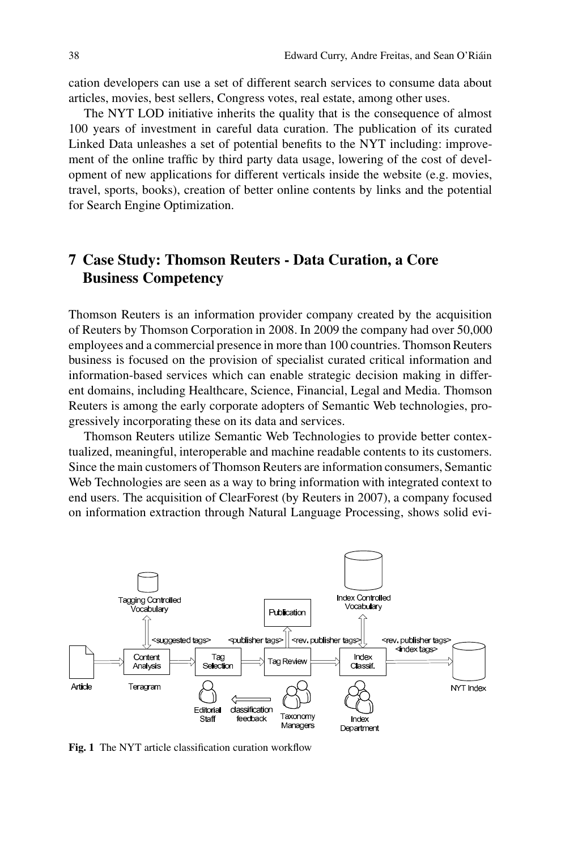<span id="page-14-0"></span>cation developers can use a set of different search services to consume data about articles, movies, best sellers, Congress votes, real estate, among other uses.

The NYT LOD initiative inherits the quality that is the consequence of almost 100 years of investment in careful data curation. The publication of its curated Linked Data unleashes a set of potential benefits to the NYT including: improvement of the online traffic by third party data usage, lowering of the cost of development of new applications for different verticals inside the website (e.g. movies, travel, sports, books), creation of better online contents by links and the potential for Search Engine Optimization.

### **7 Case Study: Thomson Reuters - Data Curation, a Core Business Competency**

Thomson Reuters is an information provider company created by the acquisition of Reuters by Thomson Corporation in 2008. In 2009 the company had over 50,000 employees and a commercial presence in more than 100 countries. Thomson Reuters business is focused on the provision of specialist curated critical information and information-based services which can enable strategic decision making in different domains, including Healthcare, Science, Financial, Legal and Media. Thomson Reuters is among the early corporate adopters of Semantic Web technologies, progressively incorporating these on its data and services.

Thomson Reuters utilize Semantic Web Technologies to provide better contextualized, meaningful, interoperable and machine readable contents to its customers. Since the main customers of Thomson Reuters are information consumers, Semantic Web Technologies are seen as a way to bring information with integrated context to end users. The acquisition of ClearForest (by Reuters in 2007), a company focused on information extraction through Natural Language Processing, shows solid evi-



**Fig. 1** The NYT article classification curation workflow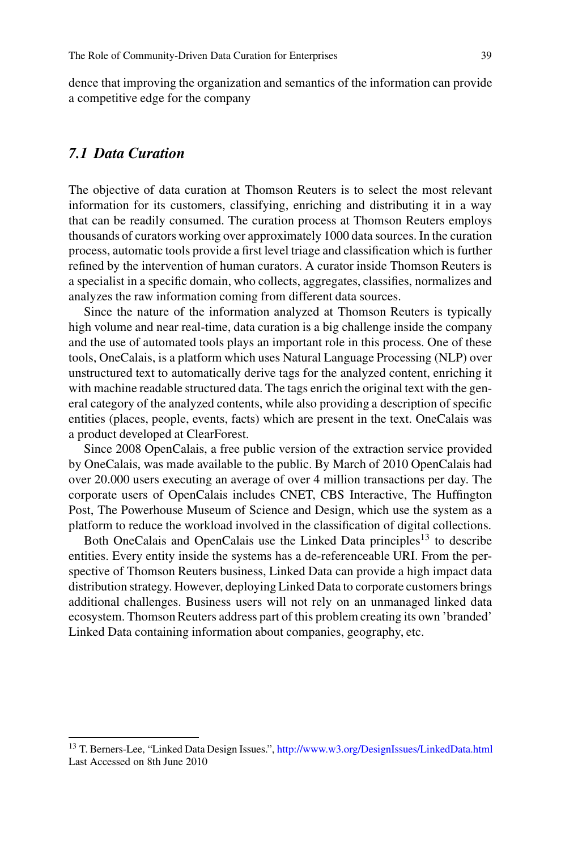dence that improving the organization and semantics of the information can provide a competitive edge for the company

### *7.1 Data Curation*

The objective of data curation at Thomson Reuters is to select the most relevant information for its customers, classifying, enriching and distributing it in a way that can be readily consumed. The curation process at Thomson Reuters employs thousands of curators working over approximately 1000 data sources. In the curation process, automatic tools provide a first level triage and classification which is further refined by the intervention of human curators. A curator inside Thomson Reuters is a specialist in a specific domain, who collects, aggregates, classifies, normalizes and analyzes the raw information coming from different data sources.

Since the nature of the information analyzed at Thomson Reuters is typically high volume and near real-time, data curation is a big challenge inside the company and the use of automated tools plays an important role in this process. One of these tools, OneCalais, is a platform which uses Natural Language Processing (NLP) over unstructured text to automatically derive tags for the analyzed content, enriching it with machine readable structured data. The tags enrich the original text with the general category of the analyzed contents, while also providing a description of specific entities (places, people, events, facts) which are present in the text. OneCalais was a product developed at ClearForest.

Since 2008 OpenCalais, a free public version of the extraction service provided by OneCalais, was made available to the public. By March of 2010 OpenCalais had over 20.000 users executing an average of over 4 million transactions per day. The corporate users of OpenCalais includes CNET, CBS Interactive, The Huffington Post, The Powerhouse Museum of Science and Design, which use the system as a platform to reduce the workload involved in the classification of digital collections.

Both OneCalais and OpenCalais use the Linked Data principles<sup>13</sup> to describe entities. Every entity inside the systems has a de-referenceable URI. From the perspective of Thomson Reuters business, Linked Data can provide a high impact data distribution strategy. However, deploying Linked Data to corporate customers brings additional challenges. Business users will not rely on an unmanaged linked data ecosystem. Thomson Reuters address part of this problem creating its own 'branded' Linked Data containi[ng information about companies, geography,](http://www.w3.org/DesignIssues/LinkedData.html) etc.

<sup>&</sup>lt;sup>13</sup> T. Berners-Lee, "Linked Data Design Issues.", http://www.w3.org/DesignIssues/LinkedData.html Last Accessed on 8th June 2010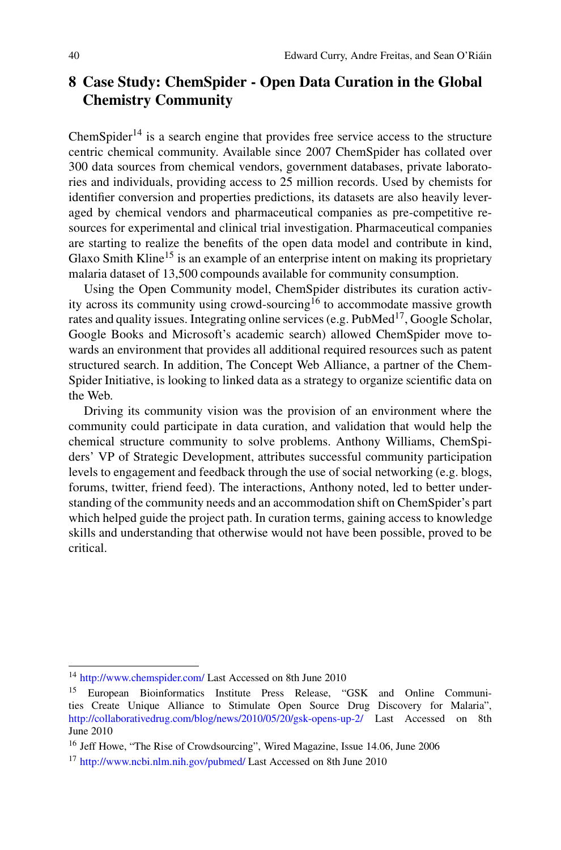### **8 Case Study: ChemSpider - Open Data Curation in the Global Chemistry Community**

 $ChemSpider<sup>14</sup>$  is a search engine that provides free service access to the structure centric chemical community. Available since 2007 ChemSpider has collated over 300 data sources from chemical vendors, government databases, private laboratories and individuals, providing access to 25 million records. Used by chemists for identifier conversion and properties predictions, its datasets are also heavily leveraged by chemical vendors and pharmaceutical companies as pre-competitive resources for experimental and clinical trial investigation. Pharmaceutical companies are starting to realize the benefits of the open data model and contribute in kind, Glaxo Smith Kline<sup>15</sup> is an example of an enterprise intent on making its proprietary malaria dataset of 13,500 compounds available for community consumption.

Using the Open Community model, ChemSpider distributes its curation activity across its community using crowd-sourcing<sup>16</sup> to accommodate massive growth rates and quality issues. Integrating online services (e.g. PubMed<sup>17</sup>, Google Scholar, Google Books and Microsoft's academic search) allowed ChemSpider move towards an environment that provides all additional required resources such as patent structured search. In addition, The Concept Web Alliance, a partner of the Chem-Spider Initiative, is looking to linked data as a strategy to organize scientific data on the Web.

Driving its community vision was the provision of an environment where the community could participate in data curation, and validation that would help the chemical structure community to solve problems. Anthony Williams, ChemSpiders' VP of Strategic Development, attributes successful community participation levels to engagement and feedback through the use of social networking (e.g. blogs, forums, twitter, friend feed). The interactions, Anthony noted, led to better understanding of the community needs and an accommodation shift on ChemSpider's part which helped guide the project path. In curation terms, gaining access to knowledge skills and understanding that otherwise would not have been possible, proved to be critical.

<sup>14</sup> http://www.chemspider.com/ Last Accessed on 8th June 2010

<sup>15</sup> European Bioinformatics Institute Press Release, "GSK and Online Communities Create Unique Alliance to Stimulate Open Source Drug Discovery for Malaria", http://collaborativedrug.com/blog/news/2010/05/20/gsk-opens-up-2/ Last Accessed on 8th June 2010

<sup>16</sup> Jeff Howe, "The Rise of Crowdsourcing", Wired Magazine, Issue 14.06, June 2006

<sup>17</sup> http://www.ncbi.nlm.nih.gov/pubmed/ Last Accessed on 8th June 2010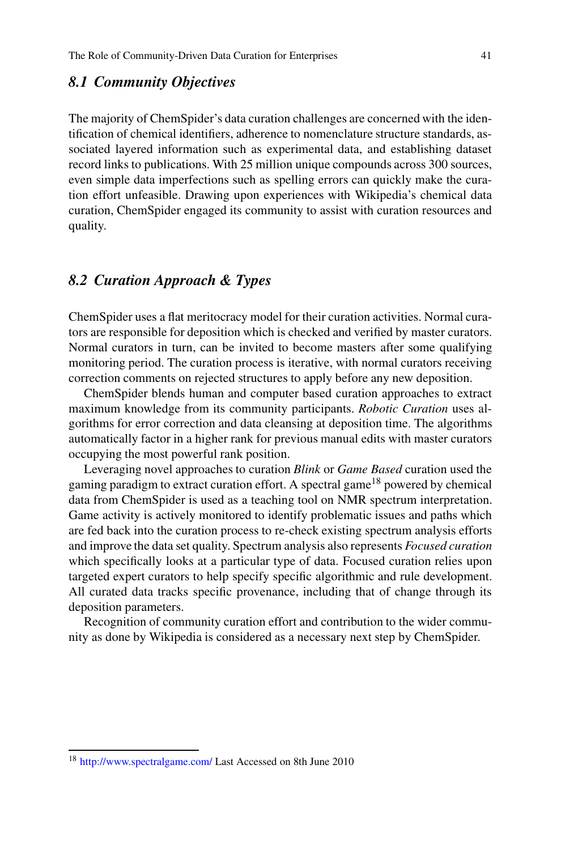The Role of Community-Driven Data Curation for Enterprises 41

### *8.1 Community Objectives*

The majority of ChemSpider's data curation challenges are concerned with the identification of chemical identifiers, adherence to nomenclature structure standards, associated layered information such as experimental data, and establishing dataset record links to publications. With 25 million unique compounds across 300 sources, even simple data imperfections such as spelling errors can quickly make the curation effort unfeasible. Drawing upon experiences with Wikipedia's chemical data curation, ChemSpider engaged its community to assist with curation resources and quality.

### *8.2 Curation Approach & Types*

ChemSpider uses a flat meritocracy model for their curation activities. Normal curators are responsible for deposition which is checked and verified by master curators. Normal curators in turn, can be invited to become masters after some qualifying monitoring period. The curation process is iterative, with normal curators receiving correction comments on rejected structures to apply before any new deposition.

ChemSpider blends human and computer based curation approaches to extract maximum knowledge from its community participants. *Robotic Curation* uses algorithms for error correction and data cleansing at deposition time. The algorithms automatically factor in a higher rank for previous manual edits with master curators occupying the most powerful rank position.

Leveraging novel approaches to curation *Blink* or *Game Based* curation used the gaming paradigm to extract curation effort. A spectral game<sup>18</sup> powered by chemical data from ChemSpider is used as a teaching tool on NMR spectrum interpretation. Game activity is actively monitored to identify problematic issues and paths which are fed back into the curation process to re-check existing spectrum analysis efforts and improve the data set quality. Spectrum analysis also represents *Focused curation* which specifically looks at a particular type of data. Focused curation relies upon targeted expert curators to help specify specific algorithmic and rule development. All curated data tracks specific provenance, including that of change through its deposition parameters.

Recognition of community curation effort and contribution to the wider commu[nity](http://www.spectralgame.com) [as](http://www.spectralgame.com) [do](http://www.spectralgame.com)ne by Wikipedia is considered as a necessary next step by ChemSpider.

<sup>18</sup> http://www.spectralgame.com/ Last Accessed on 8th June 2010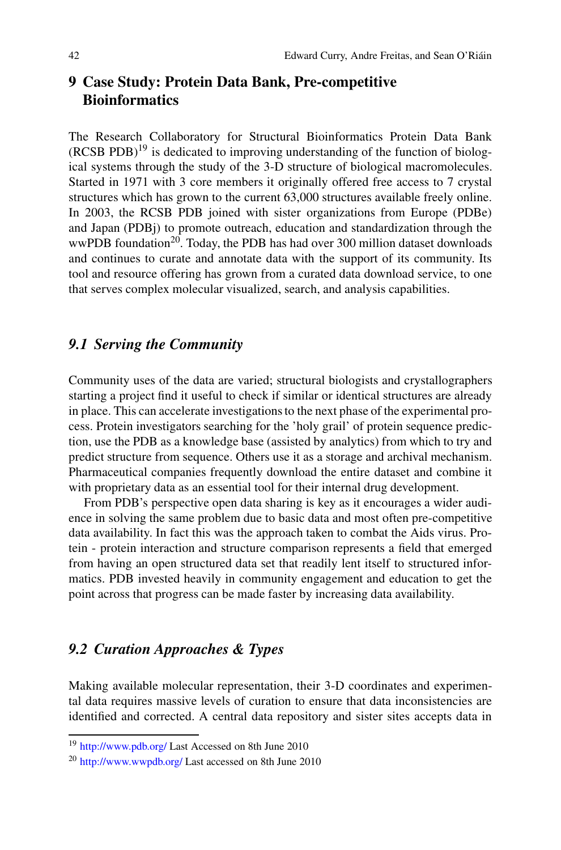### **9 Case Study: Protein Data Bank, Pre-competitive Bioinformatics**

The Research Collaboratory for Structural Bioinformatics Protein Data Bank  $(RCSB PDB)^{19}$  is dedicated to improving understanding of the function of biological systems through the study of the 3-D structure of biological macromolecules. Started in 1971 with 3 core members it originally offered free access to 7 crystal structures which has grown to the current 63,000 structures available freely online. In 2003, the RCSB PDB joined with sister organizations from Europe (PDBe) and Japan (PDBj) to promote outreach, education and standardization through the wwPDB foundation<sup>20</sup>. Today, the PDB has had over 300 million dataset downloads and continues to curate and annotate data with the support of its community. Its tool and resource offering has grown from a curated data download service, to one that serves complex molecular visualized, search, and analysis capabilities.

### *9.1 Serving the Community*

Community uses of the data are varied; structural biologists and crystallographers starting a project find it useful to check if similar or identical structures are already in place. This can accelerate investigations to the next phase of the experimental process. Protein investigators searching for the 'holy grail' of protein sequence prediction, use the PDB as a knowledge base (assisted by analytics) from which to try and predict structure from sequence. Others use it as a storage and archival mechanism. Pharmaceutical companies frequently download the entire dataset and combine it with proprietary data as an essential tool for their internal drug development.

From PDB's perspective open data sharing is key as it encourages a wider audience in solving the same problem due to basic data and most often pre-competitive data availability. In fact this was the approach taken to combat the Aids virus. Protein - protein interaction and structure comparison represents a field that emerged from having an open structured data set that readily lent itself to structured informatics. PDB invested heavily in community engagement and education to get the point across that progress can be made faster by increasing data availability.

## *[9.2](http://www.wwpdb.org) Curation Approaches & Types*

Making available molecular representation, their 3-D coordinates and experimental data requires massive levels of curation to ensure that data inconsistencies are identified and corrected. A central data repository and sister sites accepts data in

<sup>19</sup> http://www.pdb.org/ Last Accessed on 8th June 2010

<sup>20</sup> http://www.wwpdb.org/ Last accessed on 8th June 2010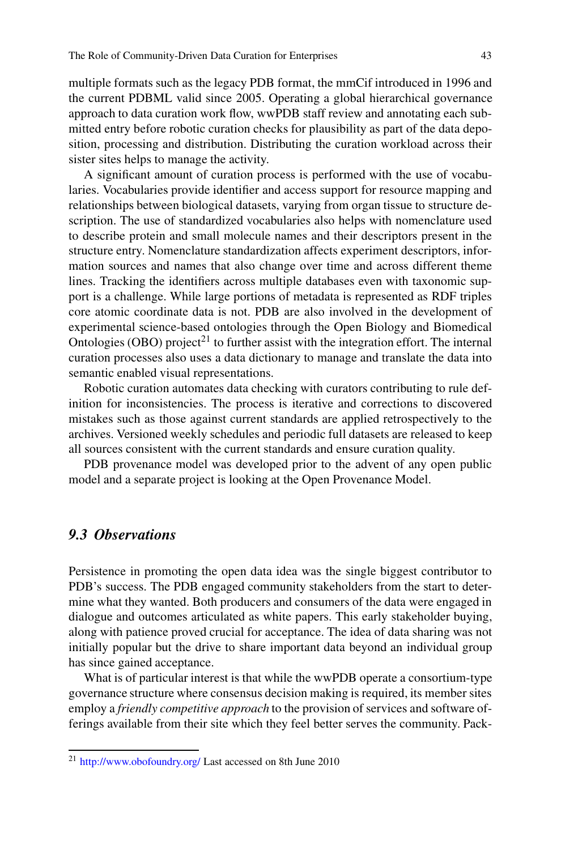multiple formats such as the legacy PDB format, the mmCif introduced in 1996 and the current PDBML valid since 2005. Operating a global hierarchical governance approach to data curation work flow, wwPDB staff review and annotating each submitted entry before robotic curation checks for plausibility as part of the data deposition, processing and distribution. Distributing the curation workload across their sister sites helps to manage the activity.

A significant amount of curation process is performed with the use of vocabularies. Vocabularies provide identifier and access support for resource mapping and relationships between biological datasets, varying from organ tissue to structure description. The use of standardized vocabularies also helps with nomenclature used to describe protein and small molecule names and their descriptors present in the structure entry. Nomenclature standardization affects experiment descriptors, information sources and names that also change over time and across different theme lines. Tracking the identifiers across multiple databases even with taxonomic support is a challenge. While large portions of metadata is represented as RDF triples core atomic coordinate data is not. PDB are also involved in the development of experimental science-based ontologies through the Open Biology and Biomedical Ontologies (OBO) project<sup>21</sup> to further assist with the integration effort. The internal curation processes also uses a data dictionary to manage and translate the data into semantic enabled visual representations.

Robotic curation automates data checking with curators contributing to rule definition for inconsistencies. The process is iterative and corrections to discovered mistakes such as those against current standards are applied retrospectively to the archives. Versioned weekly schedules and periodic full datasets are released to keep all sources consistent with the current standards and ensure curation quality.

PDB provenance model was developed prior to the advent of any open public model and a separate project is looking at the Open Provenance Model.

#### *9.3 Observations*

Persistence in promoting the open data idea was the single biggest contributor to PDB's success. The PDB engaged community stakeholders from the start to determine what they wanted. Both producers and consumers of the data were engaged in dialogue and outcomes articulated as white papers. This early stakeholder buying, along with patience proved crucial for acceptance. The idea of data sharing was not [initiall](http://www.obofoundry.org)y popular but the drive to share important data beyond an individual group has since gained acceptance.

What is of particular interest is that while the wwPDB operate a consortium-type governance structure where consensus decision making is required, its member sites employ a *friendly competitive approach* to the provision of services and software offerings available from their site which they feel better serves the community. Pack-

<sup>21</sup> http://www.obofoundry.org/ Last accessed on 8th June 2010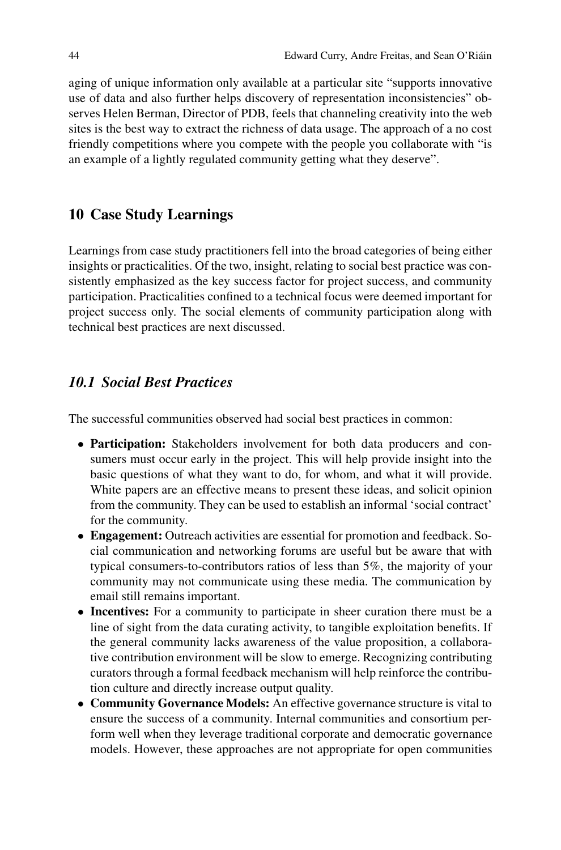aging of unique information only available at a particular site "supports innovative use of data and also further helps discovery of representation inconsistencies" observes Helen Berman, Director of PDB, feels that channeling creativity into the web sites is the best way to extract the richness of data usage. The approach of a no cost friendly competitions where you compete with the people you collaborate with "is an example of a lightly regulated community getting what they deserve".

#### **10 Case Study Learnings**

Learnings from case study practitioners fell into the broad categories of being either insights or practicalities. Of the two, insight, relating to social best practice was consistently emphasized as the key success factor for project success, and community participation. Practicalities confined to a technical focus were deemed important for project success only. The social elements of community participation along with technical best practices are next discussed.

### *10.1 Social Best Practices*

The successful communities observed had social best practices in common:

- **Participation:** Stakeholders involvement for both data producers and consumers must occur early in the project. This will help provide insight into the basic questions of what they want to do, for whom, and what it will provide. White papers are an effective means to present these ideas, and solicit opinion from the community. They can be used to establish an informal 'social contract' for the community.
- **Engagement:** Outreach activities are essential for promotion and feedback. Social communication and networking forums are useful but be aware that with typical consumers-to-contributors ratios of less than 5%, the majority of your community may not communicate using these media. The communication by email still remains important.
- **Incentives:** For a community to participate in sheer curation there must be a line of sight from the data curating activity, to tangible exploitation benefits. If the general community lacks awareness of the value proposition, a collaborative contribution environment will be slow to emerge. Recognizing contributing curators through a formal feedback mechanism will help reinforce the contribution culture and directly increase output quality.
- **Community Governance Models:** An effective governance structure is vital to ensure the success of a community. Internal communities and consortium perform well when they leverage traditional corporate and democratic governance models. However, these approaches are not appropriate for open communities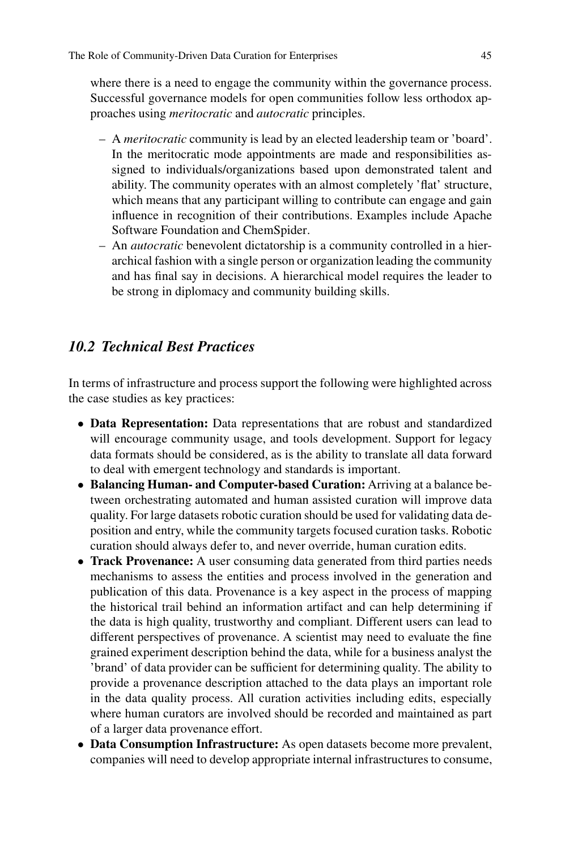where there is a need to engage the community within the governance process. Successful governance models for open communities follow less orthodox approaches using *meritocratic* and *autocratic* principles.

- A *meritocratic* community is lead by an elected leadership team or 'board'. In the meritocratic mode appointments are made and responsibilities assigned to individuals/organizations based upon demonstrated talent and ability. The community operates with an almost completely 'flat' structure, which means that any participant willing to contribute can engage and gain influence in recognition of their contributions. Examples include Apache Software Foundation and ChemSpider.
- An *autocratic* benevolent dictatorship is a community controlled in a hierarchical fashion with a single person or organization leading the community and has final say in decisions. A hierarchical model requires the leader to be strong in diplomacy and community building skills.

### *10.2 Technical Best Practices*

In terms of infrastructure and process support the following were highlighted across the case studies as key practices:

- **Data Representation:** Data representations that are robust and standardized will encourage community usage, and tools development. Support for legacy data formats should be considered, as is the ability to translate all data forward to deal with emergent technology and standards is important.
- **Balancing Human- and Computer-based Curation:** Arriving at a balance between orchestrating automated and human assisted curation will improve data quality. For large datasets robotic curation should be used for validating data deposition and entry, while the community targets focused curation tasks. Robotic curation should always defer to, and never override, human curation edits.
- **Track Provenance:** A user consuming data generated from third parties needs mechanisms to assess the entities and process involved in the generation and publication of this data. Provenance is a key aspect in the process of mapping the historical trail behind an information artifact and can help determining if the data is high quality, trustworthy and compliant. Different users can lead to different perspectives of provenance. A scientist may need to evaluate the fine grained experiment description behind the data, while for a business analyst the 'brand' of data provider can be sufficient for determining quality. The ability to provide a provenance description attached to the data plays an important role in the data quality process. All curation activities including edits, especially where human curators are involved should be recorded and maintained as part of a larger data provenance effort.
- **Data Consumption Infrastructure:** As open datasets become more prevalent, companies will need to develop appropriate internal infrastructures to consume,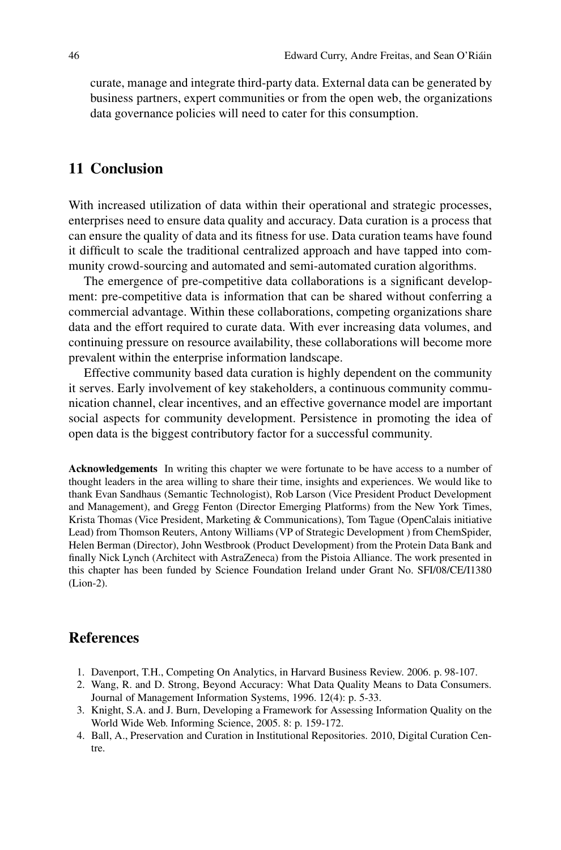curate, manage and integrate third-party data. External data can be generated by business partners, expert communities or from the open web, the organizations data governance policies will need to cater for this consumption.

### **11 Conclusion**

With increased utilization of data within their operational and strategic processes, enterprises need to ensure data quality and accuracy. Data curation is a process that can ensure the quality of data and its fitness for use. Data curation teams have found it difficult to scale the traditional centralized approach and have tapped into community crowd-sourcing and automated and semi-automated curation algorithms.

The emergence of pre-competitive data collaborations is a significant development: pre-competitive data is information that can be shared without conferring a commercial advantage. Within these collaborations, competing organizations share data and the effort required to curate data. With ever increasing data volumes, and continuing pressure on resource availability, these collaborations will become more prevalent within the enterprise information landscape.

Effective community based data curation is highly dependent on the community it serves. Early involvement of key stakeholders, a continuous community communication channel, clear incentives, and an effective governance model are important social aspects for community development. Persistence in promoting the idea of open data is the biggest contributory factor for a successful community.

**Acknowledgements** In writing this chapter we were fortunate to be have access to a number of thought leaders in the area willing to share their time, insights and experiences. We would like to thank Evan Sandhaus (Semantic Technologist), Rob Larson (Vice President Product Development and Management), and Gregg Fenton (Director Emerging Platforms) from the New York Times, Krista Thomas (Vice President, Marketing & Communications), Tom Tague (OpenCalais initiative Lead) from Thomson Reuters, Antony Williams (VP of Strategic Development ) from ChemSpider, Helen Berman (Director), John Westbrook (Product Development) from the Protein Data Bank and finally Nick Lynch (Architect with AstraZeneca) from the Pistoia Alliance. The work presented in this chapter has been funded by Science Foundation Ireland under Grant No. SFI/08/CE/I1380 (Lion-2).

#### **References**

- 1. Davenport, T.H., Competing On Analytics, in Harvard Business Review. 2006. p. 98-107.
- 2. Wang, R. and D. Strong, Beyond Accuracy: What Data Quality Means to Data Consumers. Journal of Management Information Systems, 1996. 12(4): p. 5-33.
- 3. Knight, S.A. and J. Burn, Developing a Framework for Assessing Information Quality on the World Wide Web. Informing Science, 2005. 8: p. 159-172.
- 4. Ball, A., Preservation and Curation in Institutional Repositories. 2010, Digital Curation Centre.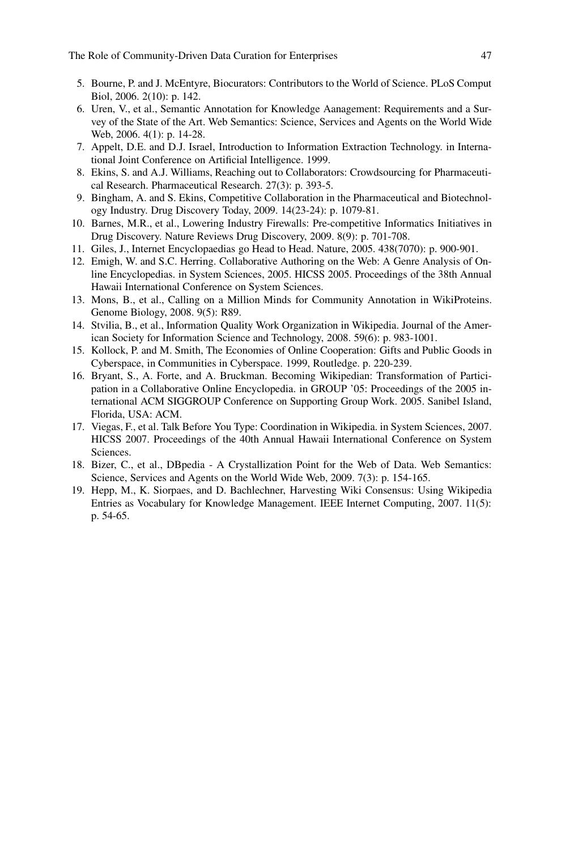The Role of Community-Driven Data Curation for Enterprises 47

- 5. Bourne, P. and J. McEntyre, Biocurators: Contributors to the World of Science. PLoS Comput Biol, 2006. 2(10): p. 142.
- 6. Uren, V., et al., Semantic Annotation for Knowledge Aanagement: Requirements and a Survey of the State of the Art. Web Semantics: Science, Services and Agents on the World Wide Web, 2006. 4(1): p. 14-28.
- 7. Appelt, D.E. and D.J. Israel, Introduction to Information Extraction Technology. in International Joint Conference on Artificial Intelligence. 1999.
- 8. Ekins, S. and A.J. Williams, Reaching out to Collaborators: Crowdsourcing for Pharmaceutical Research. Pharmaceutical Research. 27(3): p. 393-5.
- 9. Bingham, A. and S. Ekins, Competitive Collaboration in the Pharmaceutical and Biotechnology Industry. Drug Discovery Today, 2009. 14(23-24): p. 1079-81.
- 10. Barnes, M.R., et al., Lowering Industry Firewalls: Pre-competitive Informatics Initiatives in Drug Discovery. Nature Reviews Drug Discovery, 2009. 8(9): p. 701-708.
- 11. Giles, J., Internet Encyclopaedias go Head to Head. Nature, 2005. 438(7070): p. 900-901.
- 12. Emigh, W. and S.C. Herring. Collaborative Authoring on the Web: A Genre Analysis of Online Encyclopedias. in System Sciences, 2005. HICSS 2005. Proceedings of the 38th Annual Hawaii International Conference on System Sciences.
- 13. Mons, B., et al., Calling on a Million Minds for Community Annotation in WikiProteins. Genome Biology, 2008. 9(5): R89.
- 14. Stvilia, B., et al., Information Quality Work Organization in Wikipedia. Journal of the American Society for Information Science and Technology, 2008. 59(6): p. 983-1001.
- 15. Kollock, P. and M. Smith, The Economies of Online Cooperation: Gifts and Public Goods in Cyberspace, in Communities in Cyberspace. 1999, Routledge. p. 220-239.
- 16. Bryant, S., A. Forte, and A. Bruckman. Becoming Wikipedian: Transformation of Participation in a Collaborative Online Encyclopedia. in GROUP '05: Proceedings of the 2005 international ACM SIGGROUP Conference on Supporting Group Work. 2005. Sanibel Island, Florida, USA: ACM.
- 17. Viegas, F., et al. Talk Before You Type: Coordination in Wikipedia. in System Sciences, 2007. HICSS 2007. Proceedings of the 40th Annual Hawaii International Conference on System Sciences.
- 18. Bizer, C., et al., DBpedia A Crystallization Point for the Web of Data. Web Semantics: Science, Services and Agents on the World Wide Web, 2009. 7(3): p. 154-165.
- 19. Hepp, M., K. Siorpaes, and D. Bachlechner, Harvesting Wiki Consensus: Using Wikipedia Entries as Vocabulary for Knowledge Management. IEEE Internet Computing, 2007. 11(5): p. 54-65.